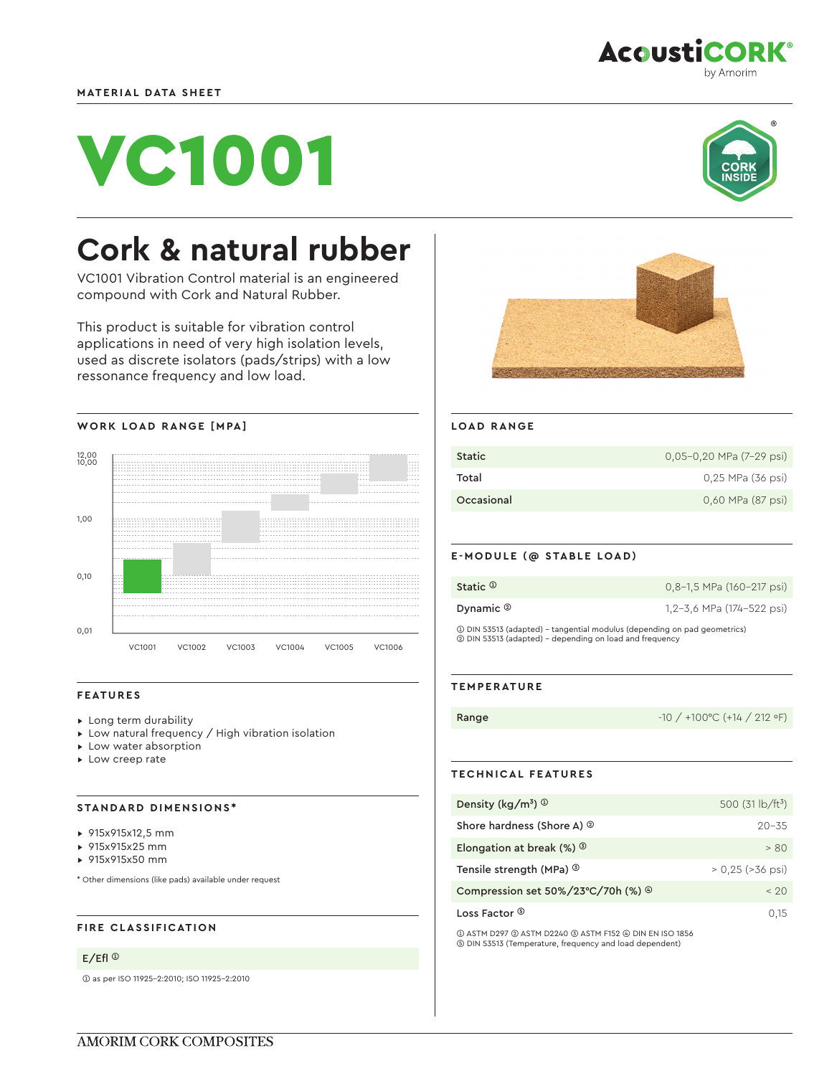

# VC1001



# **Cork & natural rubber**

VC1001 Vibration Control material is an engineered compound with Cork and Natural Rubber.

This product is suitable for vibration control applications in need of very high isolation levels, used as discrete isolators (pads/strips) with a low ressonance frequency and low load.





## **FEATURES**

- ▸ Long term durability
- ▸ Low natural frequency / High vibration isolation
- ▸ Low water absorption
- ▸ Low creep rate

## **STANDARD DIMENSIONS\***

- ▸ 915x915x12,5 mm
- ▸ 915x915x25 mm
- ▸ 915x915x50 mm

\* Other dimensions (like pads) available under request

# **FIRE CLASSIFICATION**

#### E/Efl ➀

➀ as per ISO 11925-2:2010; ISO 11925-2:2010



#### **LOAD RANGE**

| Static     | $0.05 - 0.20$ MPa $(7 - 29$ psi) |
|------------|----------------------------------|
| Total      | 0,25 MPa (36 psi)                |
| Occasional | 0,60 MPa (87 psi)                |

## **E-MODULE (@ STABLE LOAD)**

| Static $\mathbb O$                                                                                                                   | 0.8-1.5 MPa (160-217 psi) |  |
|--------------------------------------------------------------------------------------------------------------------------------------|---------------------------|--|
| Dynamic $\circledcirc$                                                                                                               | 1.2-3.6 MPa (174-522 psi) |  |
| 10 DIN 53513 (adapted) - tangential modulus (depending on pad geometrics)<br>2 DIN 53513 (adapted) - depending on load and frequency |                           |  |

#### **TEMPERATURE**

Range -10 / +100 °C (+14 / 212 °F)

# **TECHNICAL FEATURES**

| Density ( $\text{kg/m}^3$ ) $\textcircled{1}$         | 500 $(31 \text{ lb/ft}^3)$ |
|-------------------------------------------------------|----------------------------|
| Shore hardness (Shore A) <sup>2</sup>                 | $20 - 35$                  |
| Elongation at break $(\%)$ <sup>3</sup>               | > 80                       |
| Tensile strength (MPa) <sup>3</sup>                   | $> 0.25$ ( $> 36$ psi)     |
| Compression set $50\%/23^{\circ}C/70h$ (%) $^{\circ}$ | < 20                       |
| Loss Factor ®                                         | 0.15                       |

➀ ASTM D297 ➁ ASTM D2240 ➂ ASTM F152 ➃ DIN EN ISO 1856 ➄ DIN 53513 (Temperature, frequency and load dependent)